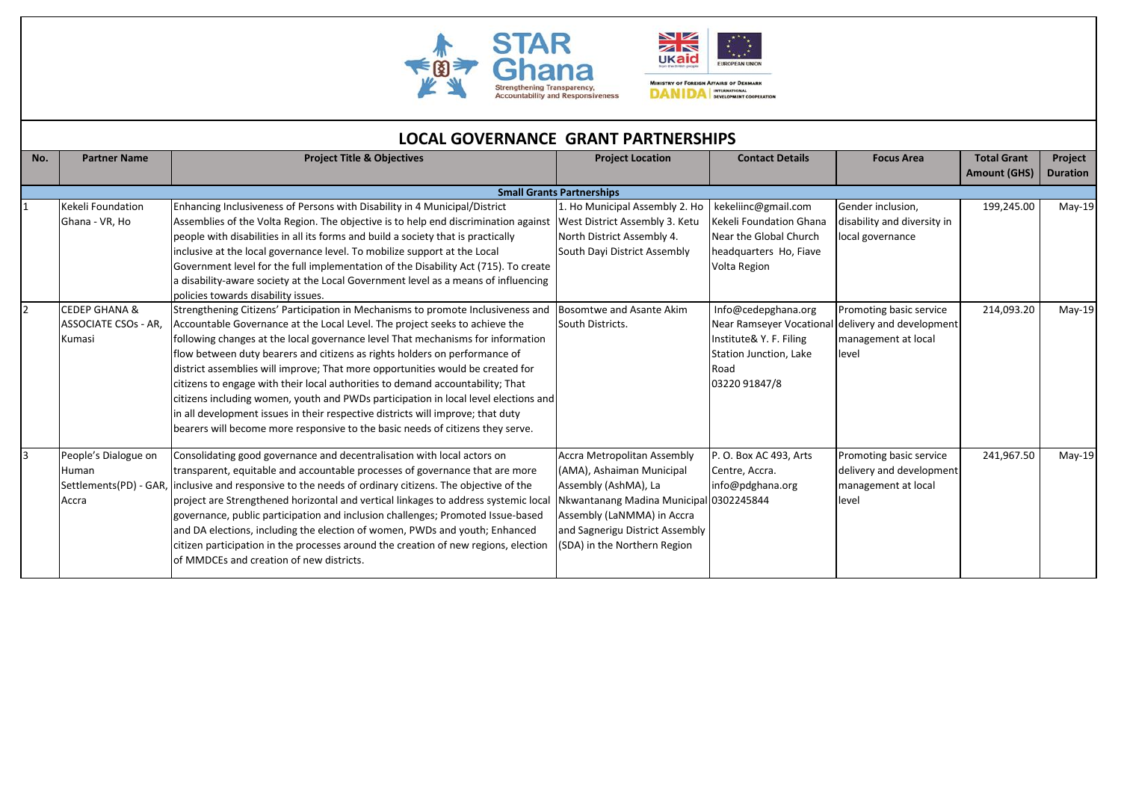



MINISTRY OF FOREIGN AFFAIRS OF DENMARK<br>**DANIDA** INTERATIONAL DEVELOPMENT COOPLEATION

|                | LOCAL GOVERNANCE GRANT PARTNERSHIPS                                                               |                                                                                                                                                                                                                                                                                                                                                                                                                                                                                                                                                                                                                                                                                                                                                                                                                                                                                                                                                                                                                                                                                                                                                                                                                                                                                                                             |                                                                                                                                                                                                                                     |                                                                                                                                                                                                                                                                              |                                                                                                                                 |                                           |                            |  |  |
|----------------|---------------------------------------------------------------------------------------------------|-----------------------------------------------------------------------------------------------------------------------------------------------------------------------------------------------------------------------------------------------------------------------------------------------------------------------------------------------------------------------------------------------------------------------------------------------------------------------------------------------------------------------------------------------------------------------------------------------------------------------------------------------------------------------------------------------------------------------------------------------------------------------------------------------------------------------------------------------------------------------------------------------------------------------------------------------------------------------------------------------------------------------------------------------------------------------------------------------------------------------------------------------------------------------------------------------------------------------------------------------------------------------------------------------------------------------------|-------------------------------------------------------------------------------------------------------------------------------------------------------------------------------------------------------------------------------------|------------------------------------------------------------------------------------------------------------------------------------------------------------------------------------------------------------------------------------------------------------------------------|---------------------------------------------------------------------------------------------------------------------------------|-------------------------------------------|----------------------------|--|--|
| No.            | <b>Partner Name</b>                                                                               | <b>Project Title &amp; Objectives</b>                                                                                                                                                                                                                                                                                                                                                                                                                                                                                                                                                                                                                                                                                                                                                                                                                                                                                                                                                                                                                                                                                                                                                                                                                                                                                       | <b>Project Location</b>                                                                                                                                                                                                             | <b>Contact Details</b>                                                                                                                                                                                                                                                       | <b>Focus Area</b>                                                                                                               | <b>Total Grant</b><br><b>Amount (GHS)</b> | Project<br><b>Duration</b> |  |  |
|                |                                                                                                   |                                                                                                                                                                                                                                                                                                                                                                                                                                                                                                                                                                                                                                                                                                                                                                                                                                                                                                                                                                                                                                                                                                                                                                                                                                                                                                                             | <b>Small Grants Partnerships</b>                                                                                                                                                                                                    |                                                                                                                                                                                                                                                                              |                                                                                                                                 |                                           |                            |  |  |
| $\overline{2}$ | Kekeli Foundation<br>Ghana - VR, Ho<br><b>CEDEP GHANA &amp;</b><br>ASSOCIATE CSOs - AR,<br>Kumasi | Enhancing Inclusiveness of Persons with Disability in 4 Municipal/District<br>Assemblies of the Volta Region. The objective is to help end discrimination against<br>people with disabilities in all its forms and build a society that is practically<br>inclusive at the local governance level. To mobilize support at the Local<br>Government level for the full implementation of the Disability Act (715). To create<br>a disability-aware society at the Local Government level as a means of influencing<br>policies towards disability issues.<br>Strengthening Citizens' Participation in Mechanisms to promote Inclusiveness and<br>Accountable Governance at the Local Level. The project seeks to achieve the<br>following changes at the local governance level That mechanisms for information<br>flow between duty bearers and citizens as rights holders on performance of<br>district assemblies will improve; That more opportunities would be created for<br>citizens to engage with their local authorities to demand accountability; That<br>citizens including women, youth and PWDs participation in local level elections and<br>in all development issues in their respective districts will improve; that duty<br>bearers will become more responsive to the basic needs of citizens they serve. | 1. Ho Municipal Assembly 2. Ho<br>West District Assembly 3. Ketu<br>North District Assembly 4.<br>South Dayi District Assembly<br>Bosomtwe and Asante Akim<br>South Districts.                                                      | kekeliinc@gmail.com<br>Kekeli Foundation Ghana<br>Near the Global Church<br>headquarters Ho, Fiave<br>Volta Region<br>Info@cedepghana.org<br>Near Ramseyer Vocational delivery and development<br>Institute& Y. F. Filing<br>Station Junction, Lake<br>Road<br>03220 91847/8 | Gender inclusion,<br>disability and diversity in<br>local governance<br>Promoting basic service<br>management at local<br>level | 199,245.00<br>214,093.20                  | $May-19$<br>$May-19$       |  |  |
| 3              | People's Dialogue on<br>Human<br>Accra                                                            | Consolidating good governance and decentralisation with local actors on<br>transparent, equitable and accountable processes of governance that are more<br>Settlements (PD) - GAR, linclusive and responsive to the needs of ordinary citizens. The objective of the<br>project are Strengthened horizontal and vertical linkages to address systemic local<br>governance, public participation and inclusion challenges; Promoted Issue-based<br>and DA elections, including the election of women, PWDs and youth; Enhanced<br>citizen participation in the processes around the creation of new regions, election<br>of MMDCEs and creation of new districts.                                                                                                                                                                                                                                                                                                                                                                                                                                                                                                                                                                                                                                                            | <b>Accra Metropolitan Assembly</b><br>(AMA), Ashaiman Municipal<br>Assembly (AshMA), La<br>Nkwantanang Madina Municipal 0302245844<br>Assembly (LaNMMA) in Accra<br>and Sagnerigu District Assembly<br>(SDA) in the Northern Region | P.O. Box AC 493, Arts<br>Centre, Accra.<br>info@pdghana.org                                                                                                                                                                                                                  | Promoting basic service<br>delivery and development<br>management at local<br>level                                             | 241,967.50                                | $May-19$                   |  |  |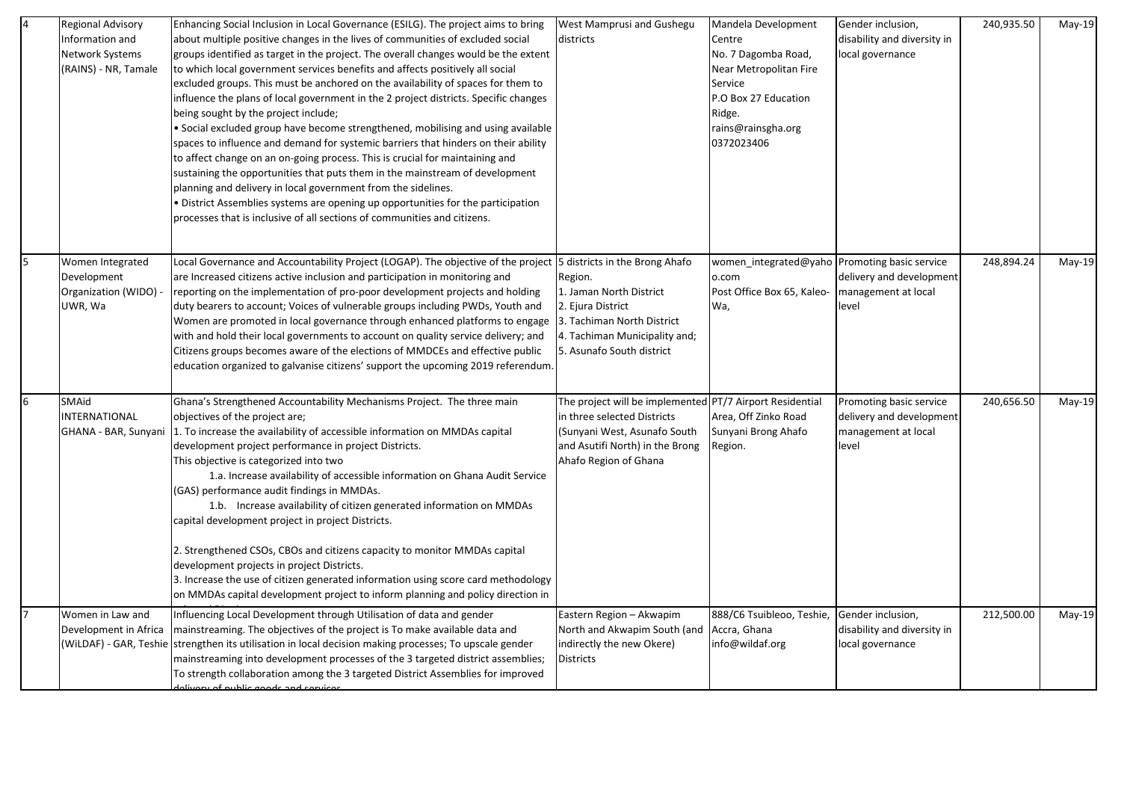| $\overline{a}$ | Regional Advisory<br>Information and<br><b>Network Systems</b><br>(RAINS) - NR, Tamale | Enhancing Social Inclusion in Local Governance (ESILG). The project aims to bring<br>about multiple positive changes in the lives of communities of excluded social<br>groups identified as target in the project. The overall changes would be the extent<br>to which local government services benefits and affects positively all social<br>excluded groups. This must be anchored on the availability of spaces for them to<br>influence the plans of local government in the 2 project districts. Specific changes<br>being sought by the project include;<br>· Social excluded group have become strengthened, mobilising and using available<br>spaces to influence and demand for systemic barriers that hinders on their ability<br>to affect change on an on-going process. This is crucial for maintaining and<br>sustaining the opportunities that puts them in the mainstream of development<br>planning and delivery in local government from the sidelines.<br>District Assemblies systems are opening up opportunities for the participation<br>processes that is inclusive of all sections of communities and citizens. | West Mamprusi and Gushegu<br>districts                                                                                                                                              | Mandela Development<br>Centre<br>No. 7 Dagomba Road,<br>Near Metropolitan Fire<br>Service<br>P.O Box 27 Education<br>Ridge.<br>rains@rainsgha.org<br>0372023406 | Gender inclusion,<br>disability and diversity in<br>local governance                | 240,935.50 | May-19   |
|----------------|----------------------------------------------------------------------------------------|------------------------------------------------------------------------------------------------------------------------------------------------------------------------------------------------------------------------------------------------------------------------------------------------------------------------------------------------------------------------------------------------------------------------------------------------------------------------------------------------------------------------------------------------------------------------------------------------------------------------------------------------------------------------------------------------------------------------------------------------------------------------------------------------------------------------------------------------------------------------------------------------------------------------------------------------------------------------------------------------------------------------------------------------------------------------------------------------------------------------------------------|-------------------------------------------------------------------------------------------------------------------------------------------------------------------------------------|-----------------------------------------------------------------------------------------------------------------------------------------------------------------|-------------------------------------------------------------------------------------|------------|----------|
| 5              | Women Integrated<br>Development<br>Organization (WIDO) -<br>UWR, Wa                    | Local Governance and Accountability Project (LOGAP). The objective of the project 5 districts in the Brong Ahafo<br>are Increased citizens active inclusion and participation in monitoring and<br>reporting on the implementation of pro-poor development projects and holding<br>duty bearers to account; Voices of vulnerable groups including PWDs, Youth and<br>Women are promoted in local governance through enhanced platforms to engage<br>with and hold their local governments to account on quality service delivery; and<br>Citizens groups becomes aware of the elections of MMDCEs and effective public<br>education organized to galvanise citizens' support the upcoming 2019 referendum.                                                                                                                                                                                                                                                                                                                                                                                                                               | Region.<br>1. Jaman North District<br>2. Ejura District<br>3. Tachiman North District<br>4. Tachiman Municipality and;<br>5. Asunafo South district                                 | women integrated@yaho Promoting basic service<br>o.com<br>Post Office Box 65, Kaleo-<br>Wa,                                                                     | delivery and development<br>management at local<br>level                            | 248,894.24 | May-19   |
| 6              | SMAid<br><b>INTERNATIONAL</b><br>GHANA - BAR, Sunyani                                  | Ghana's Strengthened Accountability Mechanisms Project. The three main<br>objectives of the project are;<br>1. To increase the availability of accessible information on MMDAs capital<br>development project performance in project Districts.<br>This objective is categorized into two<br>1.a. Increase availability of accessible information on Ghana Audit Service<br>(GAS) performance audit findings in MMDAs.<br>1.b. Increase availability of citizen generated information on MMDAs<br>capital development project in project Districts.<br>2. Strengthened CSOs, CBOs and citizens capacity to monitor MMDAs capital<br>development projects in project Districts.<br>3. Increase the use of citizen generated information using score card methodology<br>on MMDAs capital development project to inform planning and policy direction in                                                                                                                                                                                                                                                                                   | The project will be implemented PT/7 Airport Residential<br>in three selected Districts<br>(Sunyani West, Asunafo South<br>and Asutifi North) in the Brong<br>Ahafo Region of Ghana | Area, Off Zinko Road<br>Sunyani Brong Ahafo<br>Region.                                                                                                          | Promoting basic service<br>delivery and development<br>management at local<br>level | 240,656.50 | $May-19$ |
|                | Women in Law and<br>Development in Africa                                              | Influencing Local Development through Utilisation of data and gender<br>mainstreaming. The objectives of the project is To make available data and<br>(WiLDAF) - GAR, Teshie sstrengthen its utilisation in local decision making processes; To upscale gender<br>mainstreaming into development processes of the 3 targeted district assemblies;<br>To strength collaboration among the 3 targeted District Assemblies for improved<br><u>divary of public goods and convices</u>                                                                                                                                                                                                                                                                                                                                                                                                                                                                                                                                                                                                                                                       | Eastern Region - Akwapim<br>North and Akwapim South (and<br>indirectly the new Okere)<br>Districts                                                                                  | 888/C6 Tsuibleoo, Teshie,<br>Accra, Ghana<br>info@wildaf.org                                                                                                    | Gender inclusion,<br>disability and diversity in<br>local governance                | 212,500.00 | $May-19$ |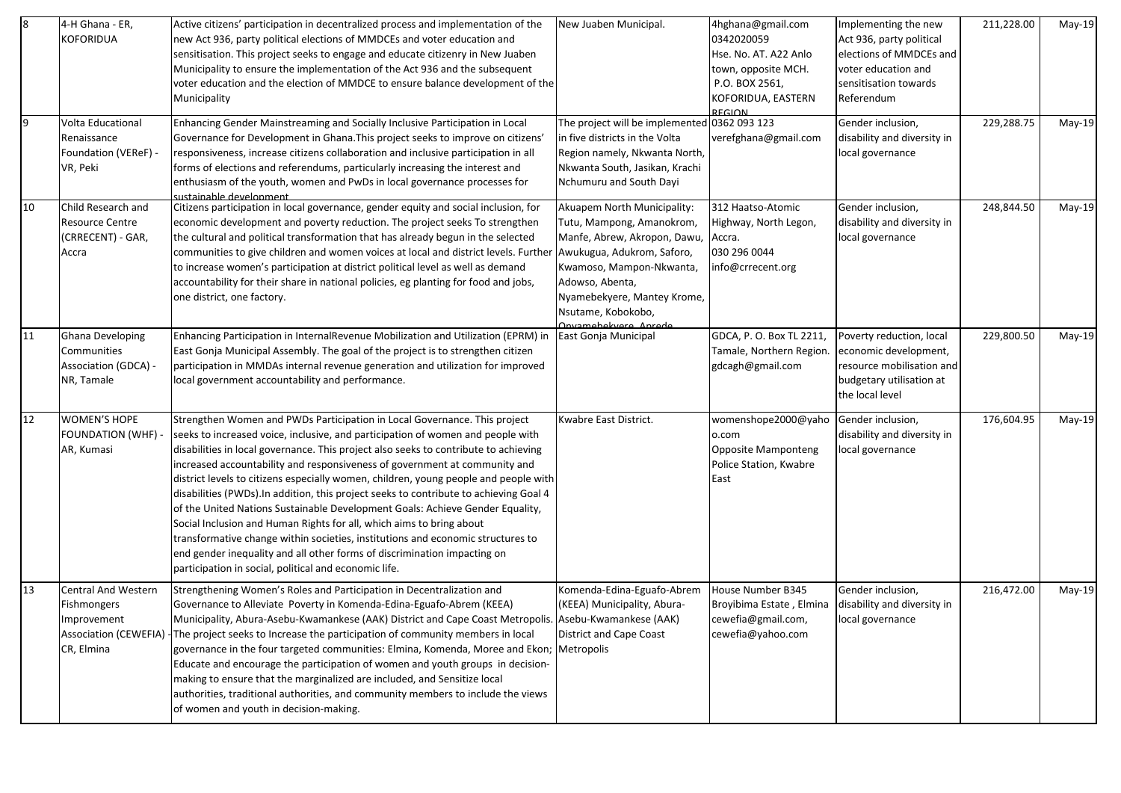| 8  | 4-H Ghana - ER,<br>KOFORIDUA                                                                           | Active citizens' participation in decentralized process and implementation of the<br>new Act 936, party political elections of MMDCEs and voter education and<br>sensitisation. This project seeks to engage and educate citizenry in New Juaben<br>Municipality to ensure the implementation of the Act 936 and the subsequent<br>voter education and the election of MMDCE to ensure balance development of the<br>Municipality                                                                                                                                                                                                                                                                                                                                                                                                                                                                     | New Juaben Municipal.                                                                                                                                                                                                                               | 4hghana@gmail.com<br>0342020059<br>Hse. No. AT. A22 Anlo<br>town, opposite MCH.<br>P.O. BOX 2561,<br>KOFORIDUA, EASTERN<br>PFCION | Implementing the new<br>Act 936, party political<br>elections of MMDCEs and<br>voter education and<br>sensitisation towards<br>Referendum | 211,228.00 | May-19 |
|----|--------------------------------------------------------------------------------------------------------|-------------------------------------------------------------------------------------------------------------------------------------------------------------------------------------------------------------------------------------------------------------------------------------------------------------------------------------------------------------------------------------------------------------------------------------------------------------------------------------------------------------------------------------------------------------------------------------------------------------------------------------------------------------------------------------------------------------------------------------------------------------------------------------------------------------------------------------------------------------------------------------------------------|-----------------------------------------------------------------------------------------------------------------------------------------------------------------------------------------------------------------------------------------------------|-----------------------------------------------------------------------------------------------------------------------------------|-------------------------------------------------------------------------------------------------------------------------------------------|------------|--------|
| l9 | Volta Educational<br>Renaissance<br>Foundation (VEReF) -<br>VR, Peki                                   | Enhancing Gender Mainstreaming and Socially Inclusive Participation in Local<br>Governance for Development in Ghana. This project seeks to improve on citizens'<br>responsiveness, increase citizens collaboration and inclusive participation in all<br>forms of elections and referendums, particularly increasing the interest and<br>enthusiasm of the youth, women and PwDs in local governance processes for<br>sustainable develonment                                                                                                                                                                                                                                                                                                                                                                                                                                                         | The project will be implemented 0362 093 123<br>in five districts in the Volta<br>Region namely, Nkwanta North,<br>Nkwanta South, Jasikan, Krachi<br>Nchumuru and South Dayi                                                                        | verefghana@gmail.com                                                                                                              | Gender inclusion,<br>disability and diversity in<br>local governance                                                                      | 229,288.75 | May-19 |
| 10 | Child Research and<br><b>Resource Centre</b><br>(CRRECENT) - GAR,<br>Accra                             | Citizens participation in local governance, gender equity and social inclusion, for<br>economic development and poverty reduction. The project seeks To strengthen<br>the cultural and political transformation that has already begun in the selected<br>communities to give children and women voices at local and district levels. Further<br>to increase women's participation at district political level as well as demand<br>accountability for their share in national policies, eg planting for food and jobs,<br>one district, one factory.                                                                                                                                                                                                                                                                                                                                                 | Akuapem North Municipality:<br>Tutu, Mampong, Amanokrom,<br>Manfe, Abrew, Akropon, Dawu,<br>Awukugua, Adukrom, Saforo,<br>Kwamoso, Mampon-Nkwanta,<br>Adowso, Abenta,<br>Nyamebekyere, Mantey Krome,<br>Nsutame, Kobokobo,<br>Anyamehekyere, Anrede | 312 Haatso-Atomic<br>Highway, North Legon,<br>Accra.<br>030 296 0044<br>info@crrecent.org                                         | Gender inclusion,<br>disability and diversity in<br>local governance                                                                      | 248,844.50 | May-19 |
| 11 | Ghana Developing<br>Communities<br>Association (GDCA) -<br>NR, Tamale                                  | Enhancing Participation in InternalRevenue Mobilization and Utilization (EPRM) in<br>East Gonja Municipal Assembly. The goal of the project is to strengthen citizen<br>participation in MMDAs internal revenue generation and utilization for improved<br>local government accountability and performance.                                                                                                                                                                                                                                                                                                                                                                                                                                                                                                                                                                                           | East Gonja Municipal                                                                                                                                                                                                                                | GDCA, P. O. Box TL 2211,<br>Tamale, Northern Region.<br>gdcagh@gmail.com                                                          | Poverty reduction, local<br>economic development,<br>resource mobilisation and<br>budgetary utilisation at<br>the local level             | 229,800.50 | May-19 |
| 12 | <b>WOMEN'S HOPE</b><br><b>FOUNDATION (WHF)</b><br>AR, Kumasi                                           | Strengthen Women and PWDs Participation in Local Governance. This project<br>seeks to increased voice, inclusive, and participation of women and people with<br>disabilities in local governance. This project also seeks to contribute to achieving<br>increased accountability and responsiveness of government at community and<br>district levels to citizens especially women, children, young people and people with<br>disabilities (PWDs). In addition, this project seeks to contribute to achieving Goal 4<br>of the United Nations Sustainable Development Goals: Achieve Gender Equality,<br>Social Inclusion and Human Rights for all, which aims to bring about<br>transformative change within societies, institutions and economic structures to<br>end gender inequality and all other forms of discrimination impacting on<br>participation in social, political and economic life. | Kwabre East District.                                                                                                                                                                                                                               | womenshope2000@yaho<br>o.com<br><b>Opposite Mamponteng</b><br>Police Station, Kwabre<br>East                                      | Gender inclusion,<br>disability and diversity in<br>local governance                                                                      | 176,604.95 | May-19 |
| 13 | <b>Central And Western</b><br>Fishmongers<br>Improvement<br><b>Association (CEWEFIA)</b><br>CR, Elmina | Strengthening Women's Roles and Participation in Decentralization and<br>Governance to Alleviate Poverty in Komenda-Edina-Eguafo-Abrem (KEEA)<br>Municipality, Abura-Asebu-Kwamankese (AAK) District and Cape Coast Metropolis. Asebu-Kwamankese (AAK)<br>The project seeks to Increase the participation of community members in local<br>governance in the four targeted communities: Elmina, Komenda, Moree and Ekon;<br>Educate and encourage the participation of women and youth groups in decision-<br>making to ensure that the marginalized are included, and Sensitize local<br>authorities, traditional authorities, and community members to include the views<br>of women and youth in decision-making.                                                                                                                                                                                  | Komenda-Edina-Eguafo-Abrem<br>(KEEA) Municipality, Abura-<br><b>District and Cape Coast</b><br>Metropolis                                                                                                                                           | House Number B345<br>Broyibima Estate, Elmina<br>cewefia@gmail.com,<br>cewefia@yahoo.com                                          | Gender inclusion,<br>disability and diversity in<br>local governance                                                                      | 216,472.00 | May-19 |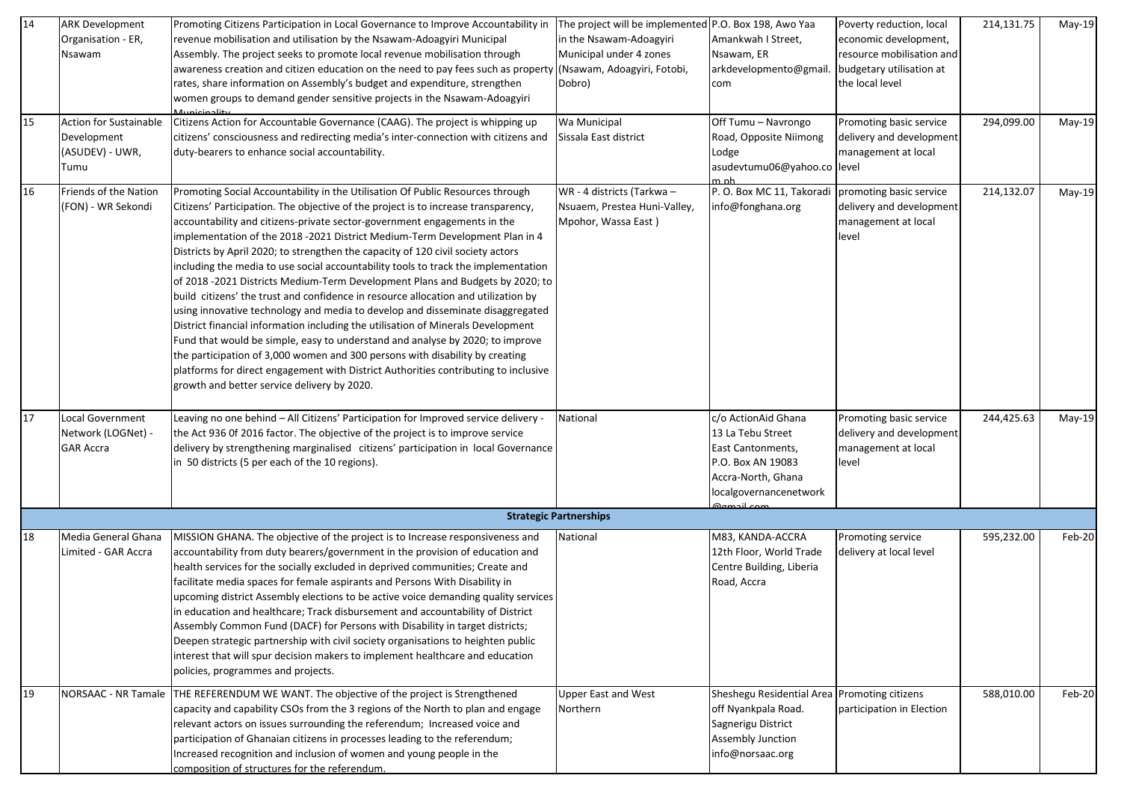| $\overline{14}$<br>15 | <b>ARK Development</b><br>Organisation - ER,<br>Nsawam<br><b>Action for Sustainable</b><br>Development<br>(ASUDEV) - UWR,<br>Tumu | Promoting Citizens Participation in Local Governance to Improve Accountability in<br>revenue mobilisation and utilisation by the Nsawam-Adoagyiri Municipal<br>Assembly. The project seeks to promote local revenue mobilisation through<br>awareness creation and citizen education on the need to pay fees such as property (Nsawam, Adoagyiri, Fotobi,<br>rates, share information on Assembly's budget and expenditure, strengthen<br>women groups to demand gender sensitive projects in the Nsawam-Adoagyiri<br>بغناجمنهنمسه<br>Citizens Action for Accountable Governance (CAAG). The project is whipping up<br>citizens' consciousness and redirecting media's inter-connection with citizens and<br>duty-bearers to enhance social accountability.                                                                                                                                                                                                                                                                                                                                                                                                  | The project will be implemented P.O. Box 198, Awo Yaa<br>in the Nsawam-Adoagyiri<br>Municipal under 4 zones<br>Dobro)<br>Wa Municipal<br>Sissala East district | Amankwah I Street,<br>Nsawam, ER<br>arkdevelopmento@gmail.<br>com<br>Off Tumu - Navrongo<br>Road, Opposite Niimong<br>Lodge<br>asudevtumu06@yahoo.co level<br>m nh | Poverty reduction, local<br>economic development,<br>resource mobilisation and<br>budgetary utilisation at<br>the local level<br>Promoting basic service<br>delivery and development<br>management at local | 214,131.75<br>294,099.00 | May-19<br>May-19 |
|-----------------------|-----------------------------------------------------------------------------------------------------------------------------------|--------------------------------------------------------------------------------------------------------------------------------------------------------------------------------------------------------------------------------------------------------------------------------------------------------------------------------------------------------------------------------------------------------------------------------------------------------------------------------------------------------------------------------------------------------------------------------------------------------------------------------------------------------------------------------------------------------------------------------------------------------------------------------------------------------------------------------------------------------------------------------------------------------------------------------------------------------------------------------------------------------------------------------------------------------------------------------------------------------------------------------------------------------------|----------------------------------------------------------------------------------------------------------------------------------------------------------------|--------------------------------------------------------------------------------------------------------------------------------------------------------------------|-------------------------------------------------------------------------------------------------------------------------------------------------------------------------------------------------------------|--------------------------|------------------|
| 16                    | Friends of the Nation<br>(FON) - WR Sekondi                                                                                       | Promoting Social Accountability in the Utilisation Of Public Resources through<br>Citizens' Participation. The objective of the project is to increase transparency,<br>accountability and citizens-private sector-government engagements in the<br>implementation of the 2018 -2021 District Medium-Term Development Plan in 4<br>Districts by April 2020; to strengthen the capacity of 120 civil society actors<br>including the media to use social accountability tools to track the implementation<br>of 2018 -2021 Districts Medium-Term Development Plans and Budgets by 2020; to<br>build citizens' the trust and confidence in resource allocation and utilization by<br>using innovative technology and media to develop and disseminate disaggregated<br>District financial information including the utilisation of Minerals Development<br>Fund that would be simple, easy to understand and analyse by 2020; to improve<br>the participation of 3,000 women and 300 persons with disability by creating<br>platforms for direct engagement with District Authorities contributing to inclusive<br>growth and better service delivery by 2020. | WR - 4 districts (Tarkwa -<br>Nsuaem, Prestea Huni-Valley,<br>Mpohor, Wassa East)                                                                              | P.O. Box MC 11, Takoradi<br>info@fonghana.org                                                                                                                      | promoting basic service<br>delivery and development<br>management at local<br>level                                                                                                                         | 214,132.07               | $May-19$         |
| 17                    | Local Government<br>Network (LOGNet) -<br><b>GAR Accra</b>                                                                        | Leaving no one behind - All Citizens' Participation for Improved service delivery -<br>the Act 936 0f 2016 factor. The objective of the project is to improve service<br>delivery by strengthening marginalised citizens' participation in local Governance<br>in 50 districts (5 per each of the 10 regions).                                                                                                                                                                                                                                                                                                                                                                                                                                                                                                                                                                                                                                                                                                                                                                                                                                               | National                                                                                                                                                       | c/o ActionAid Ghana<br>13 La Tebu Street<br>East Cantonments,<br>P.O. Box AN 19083<br>Accra-North, Ghana<br>localgovernancenetwork<br>രണച്ചി <u>com</u>            | Promoting basic service<br>delivery and development<br>management at local<br>level                                                                                                                         | 244,425.63               | May-19           |
|                       |                                                                                                                                   |                                                                                                                                                                                                                                                                                                                                                                                                                                                                                                                                                                                                                                                                                                                                                                                                                                                                                                                                                                                                                                                                                                                                                              | <b>Strategic Partnerships</b>                                                                                                                                  |                                                                                                                                                                    |                                                                                                                                                                                                             |                          |                  |
| 18                    | Media General Ghana<br>Limited - GAR Accra                                                                                        | MISSION GHANA. The objective of the project is to Increase responsiveness and<br>accountability from duty bearers/government in the provision of education and<br>health services for the socially excluded in deprived communities; Create and<br>facilitate media spaces for female aspirants and Persons With Disability in<br>upcoming district Assembly elections to be active voice demanding quality services<br>in education and healthcare; Track disbursement and accountability of District<br>Assembly Common Fund (DACF) for Persons with Disability in target districts;<br>Deepen strategic partnership with civil society organisations to heighten public<br>interest that will spur decision makers to implement healthcare and education<br>policies, programmes and projects.                                                                                                                                                                                                                                                                                                                                                            | National                                                                                                                                                       | M83, KANDA-ACCRA<br>12th Floor, World Trade<br>Centre Building, Liberia<br>Road, Accra                                                                             | Promoting service<br>delivery at local level                                                                                                                                                                | 595,232.00               | Feb-20           |
| 19                    | NORSAAC - NR Tamale                                                                                                               | THE REFERENDUM WE WANT. The objective of the project is Strengthened<br>capacity and capability CSOs from the 3 regions of the North to plan and engage<br>relevant actors on issues surrounding the referendum; Increased voice and<br>participation of Ghanaian citizens in processes leading to the referendum;<br>Increased recognition and inclusion of women and young people in the<br>composition of structures for the referendum.                                                                                                                                                                                                                                                                                                                                                                                                                                                                                                                                                                                                                                                                                                                  | <b>Upper East and West</b><br>Northern                                                                                                                         | Sheshegu Residential Area Promoting citizens<br>off Nyankpala Road.<br>Sagnerigu District<br>Assembly Junction<br>info@norsaac.org                                 | participation in Election                                                                                                                                                                                   | 588,010.00               | Feb-20           |